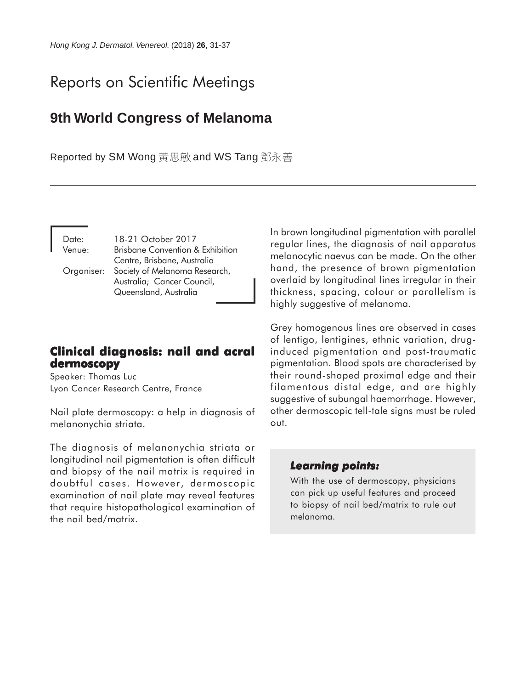# Reports on Scientific Meetings

# **9th World Congress of Melanoma**

Reported by SM Wong 黃思敏 and WS Tang 鄧永善

| Date:  | 18-21 October 2017                          |
|--------|---------------------------------------------|
| Venue: | <b>Brisbane Convention &amp; Exhibition</b> |
|        | Centre, Brisbane, Australia                 |
|        | Organiser: Society of Melanoma Research,    |
|        | Australia; Cancer Council,                  |
|        | Queensland, Australia                       |

# **Clinical diagnosis: nail and acral Clinical diagnosis: nail and acral dermoscopy**

Speaker: Thomas Luc Lyon Cancer Research Centre, France

Nail plate dermoscopy: a help in diagnosis of melanonychia striata.

The diagnosis of melanonychia striata or longitudinal nail pigmentation is often difficult and biopsy of the nail matrix is required in doubtful cases. However, dermoscopic examination of nail plate may reveal features that require histopathological examination of the nail bed/matrix.

In brown longitudinal pigmentation with parallel regular lines, the diagnosis of nail apparatus melanocytic naevus can be made. On the other hand, the presence of brown pigmentation overlaid by longitudinal lines irregular in their thickness, spacing, colour or parallelism is highly suggestive of melanoma.

Grey homogenous lines are observed in cases of lentigo, lentigines, ethnic variation, druginduced pigmentation and post-traumatic pigmentation. Blood spots are characterised by their round-shaped proximal edge and their filamentous distal edge, and are highly suggestive of subungal haemorrhage. However, other dermoscopic tell-tale signs must be ruled out.

#### *Learning points: Learning*

With the use of dermoscopy, physicians can pick up useful features and proceed to biopsy of nail bed/matrix to rule out melanoma.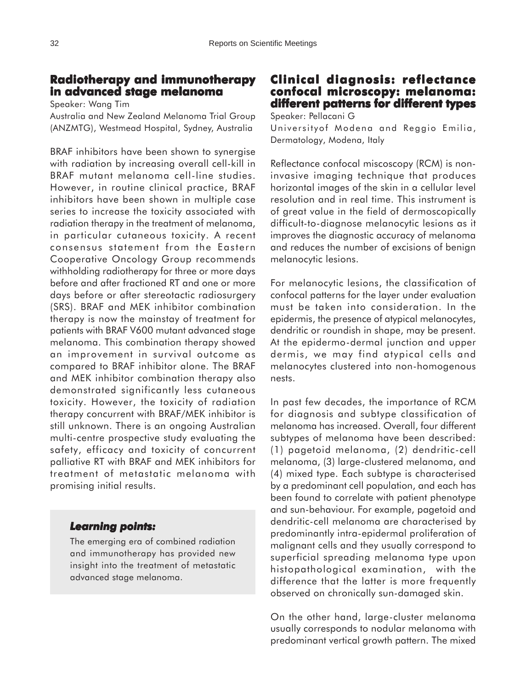## **Radiotherapy and immunotherapy in advanced stage melanoma**

Speaker: Wang Tim

Australia and New Zealand Melanoma Trial Group (ANZMTG), Westmead Hospital, Sydney, Australia

BRAF inhibitors have been shown to synergise with radiation by increasing overall cell-kill in BRAF mutant melanoma cell-line studies. However, in routine clinical practice, BRAF inhibitors have been shown in multiple case series to increase the toxicity associated with radiation therapy in the treatment of melanoma, in particular cutaneous toxicity. A recent consensus statement from the Eastern Cooperative Oncology Group recommends withholding radiotherapy for three or more days before and after fractioned RT and one or more days before or after stereotactic radiosurgery (SRS). BRAF and MEK inhibitor combination therapy is now the mainstay of treatment for patients with BRAF V600 mutant advanced stage melanoma. This combination therapy showed an improvement in survival outcome as compared to BRAF inhibitor alone. The BRAF and MEK inhibitor combination therapy also demonstrated significantly less cutaneous toxicity. However, the toxicity of radiation therapy concurrent with BRAF/MEK inhibitor is still unknown. There is an ongoing Australian multi-centre prospective study evaluating the safety, efficacy and toxicity of concurrent palliative RT with BRAF and MEK inhibitors for treatment of metastatic melanoma with promising initial results.

#### *Learning points: Learning*

The emerging era of combined radiation and immunotherapy has provided new insight into the treatment of metastatic advanced stage melanoma.

# **Clinical diagnosis: reflectance confocal microscopy: melanoma: microscopy: melanoma: different patterns for different types**

Speaker: Pellacani G

Universityof Modena and Reggio Emilia, Dermatology, Modena, Italy

Reflectance confocal miscoscopy (RCM) is noninvasive imaging technique that produces horizontal images of the skin in a cellular level resolution and in real time. This instrument is of great value in the field of dermoscopically difficult-to-diagnose melanocytic lesions as it improves the diagnostic accuracy of melanoma and reduces the number of excisions of benign melanocytic lesions.

For melanocytic lesions, the classification of confocal patterns for the layer under evaluation must be taken into consideration. In the epidermis, the presence of atypical melanocytes, dendritic or roundish in shape, may be present. At the epidermo-dermal junction and upper dermis, we may find atypical cells and melanocytes clustered into non-homogenous nests.

In past few decades, the importance of RCM for diagnosis and subtype classification of melanoma has increased. Overall, four different subtypes of melanoma have been described: (1) pagetoid melanoma, (2) dendritic-cell melanoma, (3) large-clustered melanoma, and (4) mixed type. Each subtype is characterised by a predominant cell population, and each has been found to correlate with patient phenotype and sun-behaviour. For example, pagetoid and dendritic-cell melanoma are characterised by predominantly intra-epidermal proliferation of malignant cells and they usually correspond to superficial spreading melanoma type upon histopathological examination, with the difference that the latter is more frequently observed on chronically sun-damaged skin.

On the other hand, large-cluster melanoma usually corresponds to nodular melanoma with predominant vertical growth pattern. The mixed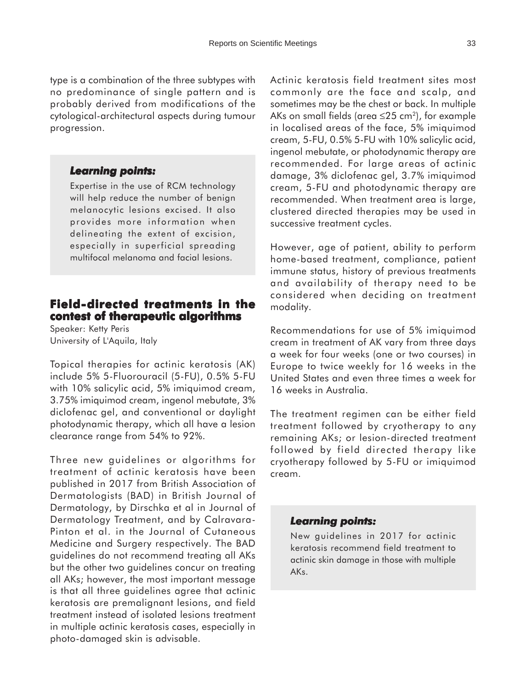type is a combination of the three subtypes with no predominance of single pattern and is probably derived from modifications of the cytological-architectural aspects during tumour progression.

#### *Learning points: Learning*

Expertise in the use of RCM technology will help reduce the number of benign melanocytic lesions excised. It also provides more information when delineating the extent of excision, especially in superficial spreading multifocal melanoma and facial lesions.

# **Field-directed treatments in the contest of therapeutic algorithms**

Speaker: Ketty Peris University of L'Aquila, Italy

Topical therapies for actinic keratosis (AK) include 5% 5-Fluorouracil (5-FU), 0.5% 5-FU with 10% salicylic acid, 5% imiquimod cream, 3.75% imiquimod cream, ingenol mebutate, 3% diclofenac gel, and conventional or daylight photodynamic therapy, which all have a lesion clearance range from 54% to 92%.

Three new guidelines or algorithms for treatment of actinic keratosis have been published in 2017 from British Association of Dermatologists (BAD) in British Journal of Dermatology, by Dirschka et al in Journal of Dermatology Treatment, and by Calravara-Pinton et al. in the Journal of Cutaneous Medicine and Surgery respectively. The BAD guidelines do not recommend treating all AKs but the other two guidelines concur on treating all AKs; however, the most important message is that all three guidelines agree that actinic keratosis are premalignant lesions, and field treatment instead of isolated lesions treatment in multiple actinic keratosis cases, especially in photo-damaged skin is advisable.

Actinic keratosis field treatment sites most commonly are the face and scalp, and sometimes may be the chest or back. In multiple AKs on small fields (area  $\leq$ 25 cm<sup>2</sup>), for example in localised areas of the face, 5% imiquimod cream, 5-FU, 0.5% 5-FU with 10% salicylic acid, ingenol mebutate, or photodynamic therapy are recommended. For large areas of actinic damage, 3% diclofenac gel, 3.7% imiquimod cream, 5-FU and photodynamic therapy are recommended. When treatment area is large, clustered directed therapies may be used in successive treatment cycles.

However, age of patient, ability to perform home-based treatment, compliance, patient immune status, history of previous treatments and availability of therapy need to be considered when deciding on treatment modality.

Recommendations for use of 5% imiquimod cream in treatment of AK vary from three days a week for four weeks (one or two courses) in Europe to twice weekly for 16 weeks in the United States and even three times a week for 16 weeks in Australia.

The treatment regimen can be either field treatment followed by cryotherapy to any remaining AKs; or lesion-directed treatment followed by field directed therapy like cryotherapy followed by 5-FU or imiquimod cream.

#### *Learning points: Learning points:*

New guidelines in 2017 for actinic keratosis recommend field treatment to actinic skin damage in those with multiple AKs.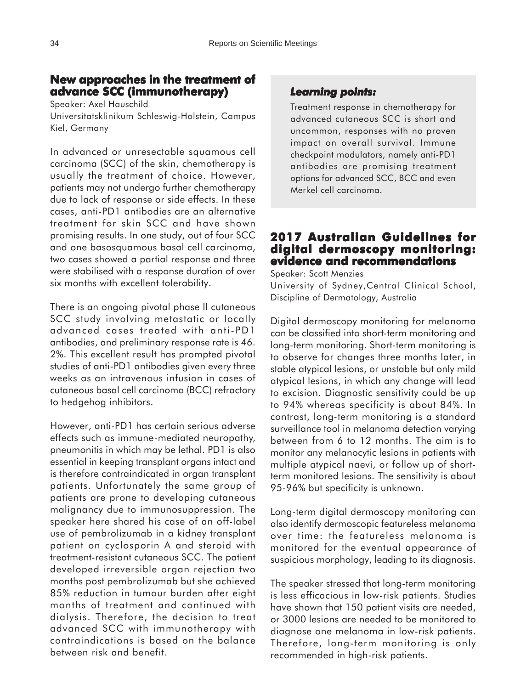## **New approaches in the treatment of advance SCC (immunotherapy) advance SCC (immunotherapy)**

Speaker: Axel Hauschild

Universitatsklinikum Schleswig-Holstein, Campus Kiel, Germany

In advanced or unresectable squamous cell carcinoma (SCC) of the skin, chemotherapy is usually the treatment of choice. However, patients may not undergo further chemotherapy due to lack of response or side effects. In these cases, anti-PD1 antibodies are an alternative treatment for skin SCC and have shown promising results. In one study, out of four SCC and one basosquamous basal cell carcinoma, two cases showed a partial response and three were stabilised with a response duration of over six months with excellent tolerability.

There is an ongoing pivotal phase II cutaneous SCC study involving metastatic or locally advanced cases treated with anti-PD1 antibodies, and preliminary response rate is 46. 2%. This excellent result has prompted pivotal studies of anti-PD1 antibodies given every three weeks as an intravenous infusion in cases of cutaneous basal cell carcinoma (BCC) refractory to hedgehog inhibitors.

However, anti-PD1 has certain serious adverse effects such as immune-mediated neuropathy, pneumonitis in which may be lethal. PD1 is also essential in keeping transplant organs intact and is therefore contraindicated in organ transplant patients. Unfortunately the same group of patients are prone to developing cutaneous malignancy due to immunosuppression. The speaker here shared his case of an off-label use of pembrolizumab in a kidney transplant patient on cyclosporin A and steroid with treatment-resistant cutaneous SCC. The patient developed irreversible organ rejection two months post pembrolizumab but she achieved 85% reduction in tumour burden after eight months of treatment and continued with dialysis. Therefore, the decision to treat advanced SCC with immunotherapy with contraindications is based on the balance between risk and benefit.

#### *Learning points: Learning points:*

Treatment response in chemotherapy for advanced cutaneous SCC is short and uncommon, responses with no proven impact on overall survival. Immune checkpoint modulators, namely anti-PD1 antibodies are promising treatment options for advanced SCC, BCC and even Merkel cell carcinoma.

#### **2017 Australian Guidelines for digital dermoscopy monitoring: dermoscopy monitoring: evidence and recommendations**

Speaker: Scott Menzies University of Sydney,Central Clinical School, Discipline of Dermatology, Australia

Digital dermoscopy monitoring for melanoma can be classified into short-term monitoring and long-term monitoring. Short-term monitoring is to observe for changes three months later, in stable atypical lesions, or unstable but only mild atypical lesions, in which any change will lead to excision. Diagnostic sensitivity could be up to 94% whereas specificity is about 84%. In contrast, long-term monitoring is a standard surveillance tool in melanoma detection varying between from 6 to 12 months. The aim is to monitor any melanocytic lesions in patients with multiple atypical naevi, or follow up of shortterm monitored lesions. The sensitivity is about 95-96% but specificity is unknown.

Long-term digital dermoscopy monitoring can also identify dermoscopic featureless melanoma over time: the featureless melanoma is monitored for the eventual appearance of suspicious morphology, leading to its diagnosis.

The speaker stressed that long-term monitoring is less efficacious in low-risk patients. Studies have shown that 150 patient visits are needed, or 3000 lesions are needed to be monitored to diagnose one melanoma in low-risk patients. Therefore, long-term monitoring is only recommended in high-risk patients.